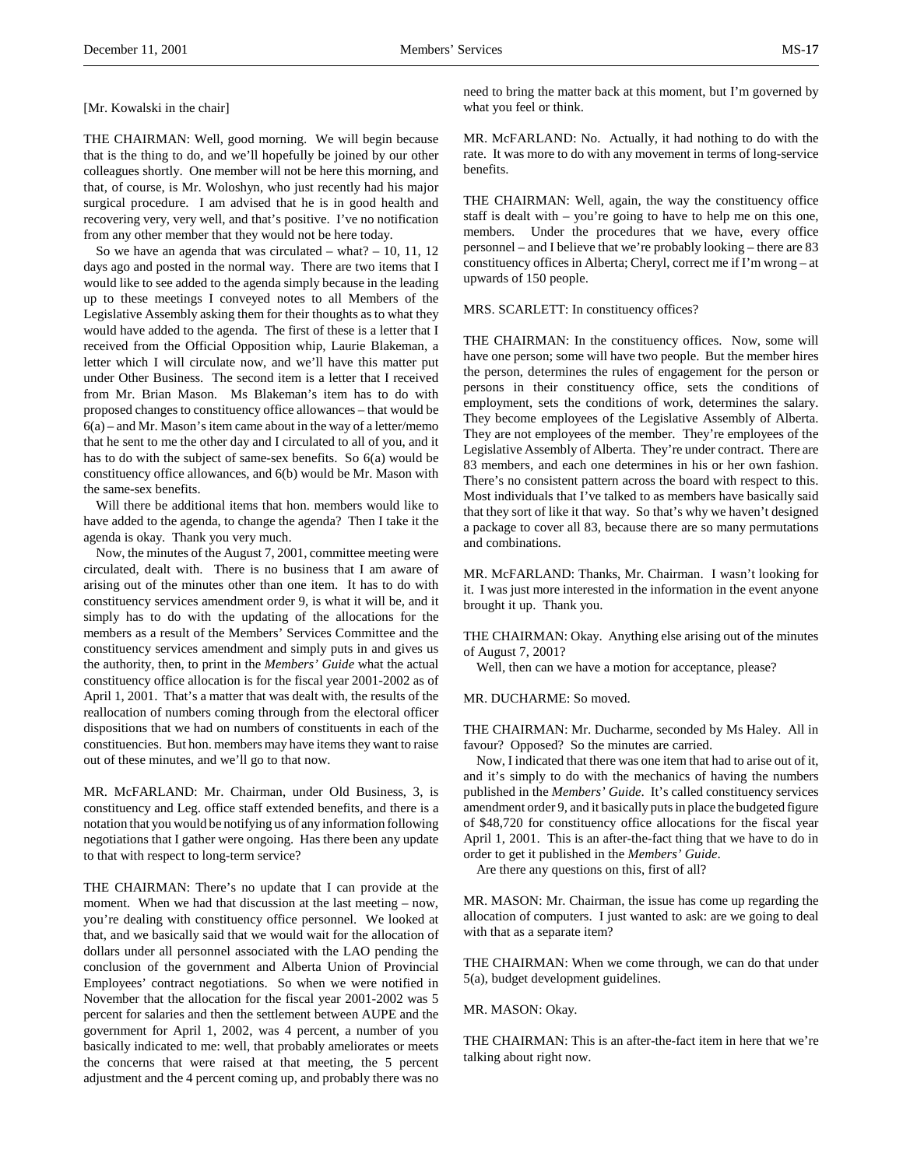[Mr. Kowalski in the chair]

THE CHAIRMAN: Well, good morning. We will begin because that is the thing to do, and we'll hopefully be joined by our other colleagues shortly. One member will not be here this morning, and that, of course, is Mr. Woloshyn, who just recently had his major surgical procedure. I am advised that he is in good health and recovering very, very well, and that's positive. I've no notification from any other member that they would not be here today.

So we have an agenda that was circulated – what?  $-10$ , 11, 12 days ago and posted in the normal way. There are two items that I would like to see added to the agenda simply because in the leading up to these meetings I conveyed notes to all Members of the Legislative Assembly asking them for their thoughts as to what they would have added to the agenda. The first of these is a letter that I received from the Official Opposition whip, Laurie Blakeman, a letter which I will circulate now, and we'll have this matter put under Other Business. The second item is a letter that I received from Mr. Brian Mason. Ms Blakeman's item has to do with proposed changes to constituency office allowances – that would be 6(a) – and Mr. Mason's item came about in the way of a letter/memo that he sent to me the other day and I circulated to all of you, and it has to do with the subject of same-sex benefits. So 6(a) would be constituency office allowances, and 6(b) would be Mr. Mason with the same-sex benefits.

Will there be additional items that hon. members would like to have added to the agenda, to change the agenda? Then I take it the agenda is okay. Thank you very much.

Now, the minutes of the August 7, 2001, committee meeting were circulated, dealt with. There is no business that I am aware of arising out of the minutes other than one item. It has to do with constituency services amendment order 9, is what it will be, and it simply has to do with the updating of the allocations for the members as a result of the Members' Services Committee and the constituency services amendment and simply puts in and gives us the authority, then, to print in the *Members' Guide* what the actual constituency office allocation is for the fiscal year 2001-2002 as of April 1, 2001. That's a matter that was dealt with, the results of the reallocation of numbers coming through from the electoral officer dispositions that we had on numbers of constituents in each of the constituencies. But hon. members may have items they want to raise out of these minutes, and we'll go to that now.

MR. McFARLAND: Mr. Chairman, under Old Business, 3, is constituency and Leg. office staff extended benefits, and there is a notation that you would be notifying us of any information following negotiations that I gather were ongoing. Has there been any update to that with respect to long-term service?

THE CHAIRMAN: There's no update that I can provide at the moment. When we had that discussion at the last meeting – now, you're dealing with constituency office personnel. We looked at that, and we basically said that we would wait for the allocation of dollars under all personnel associated with the LAO pending the conclusion of the government and Alberta Union of Provincial Employees' contract negotiations. So when we were notified in November that the allocation for the fiscal year 2001-2002 was 5 percent for salaries and then the settlement between AUPE and the government for April 1, 2002, was 4 percent, a number of you basically indicated to me: well, that probably ameliorates or meets the concerns that were raised at that meeting, the 5 percent adjustment and the 4 percent coming up, and probably there was no

need to bring the matter back at this moment, but I'm governed by what you feel or think.

MR. McFARLAND: No. Actually, it had nothing to do with the rate. It was more to do with any movement in terms of long-service benefits.

THE CHAIRMAN: Well, again, the way the constituency office staff is dealt with – you're going to have to help me on this one, members. Under the procedures that we have, every office personnel – and I believe that we're probably looking – there are 83 constituency offices in Alberta; Cheryl, correct me if I'm wrong – at upwards of 150 people.

MRS. SCARLETT: In constituency offices?

THE CHAIRMAN: In the constituency offices. Now, some will have one person; some will have two people. But the member hires the person, determines the rules of engagement for the person or persons in their constituency office, sets the conditions of employment, sets the conditions of work, determines the salary. They become employees of the Legislative Assembly of Alberta. They are not employees of the member. They're employees of the Legislative Assembly of Alberta. They're under contract. There are 83 members, and each one determines in his or her own fashion. There's no consistent pattern across the board with respect to this. Most individuals that I've talked to as members have basically said that they sort of like it that way. So that's why we haven't designed a package to cover all 83, because there are so many permutations and combinations.

MR. McFARLAND: Thanks, Mr. Chairman. I wasn't looking for it. I was just more interested in the information in the event anyone brought it up. Thank you.

THE CHAIRMAN: Okay. Anything else arising out of the minutes of August 7, 2001?

Well, then can we have a motion for acceptance, please?

MR. DUCHARME: So moved.

THE CHAIRMAN: Mr. Ducharme, seconded by Ms Haley. All in favour? Opposed? So the minutes are carried.

Now, I indicated that there was one item that had to arise out of it, and it's simply to do with the mechanics of having the numbers published in the *Members' Guide*. It's called constituency services amendment order 9, and it basically puts in place the budgeted figure of \$48,720 for constituency office allocations for the fiscal year April 1, 2001. This is an after-the-fact thing that we have to do in order to get it published in the *Members' Guide*.

Are there any questions on this, first of all?

MR. MASON: Mr. Chairman, the issue has come up regarding the allocation of computers. I just wanted to ask: are we going to deal with that as a separate item?

THE CHAIRMAN: When we come through, we can do that under 5(a), budget development guidelines.

MR. MASON: Okay.

THE CHAIRMAN: This is an after-the-fact item in here that we're talking about right now.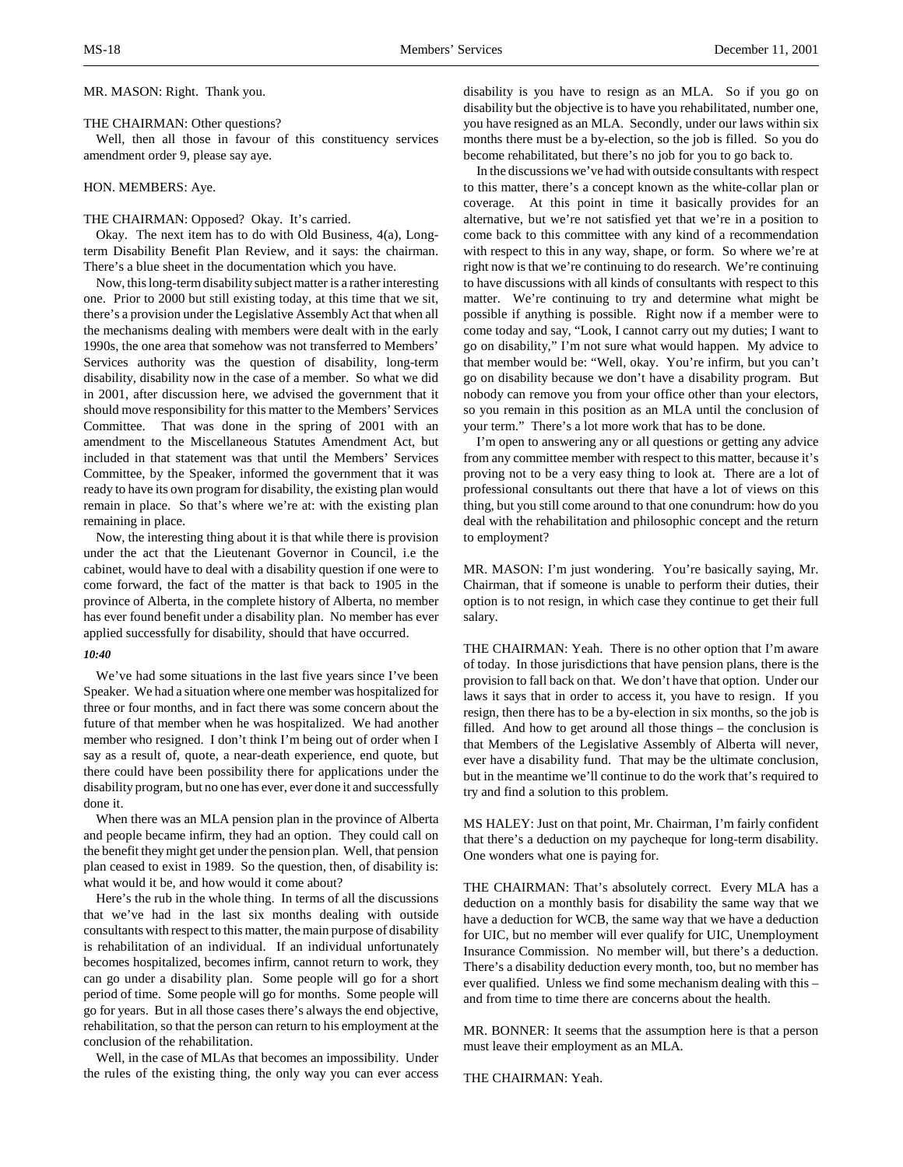MR. MASON: Right. Thank you.

#### THE CHAIRMAN: Other questions?

Well, then all those in favour of this constituency services amendment order 9, please say aye.

### HON. MEMBERS: Aye.

# THE CHAIRMAN: Opposed? Okay. It's carried.

Okay. The next item has to do with Old Business, 4(a), Longterm Disability Benefit Plan Review, and it says: the chairman. There's a blue sheet in the documentation which you have.

Now, this long-term disability subject matter is a rather interesting one. Prior to 2000 but still existing today, at this time that we sit, there's a provision under the Legislative Assembly Act that when all the mechanisms dealing with members were dealt with in the early 1990s, the one area that somehow was not transferred to Members' Services authority was the question of disability, long-term disability, disability now in the case of a member. So what we did in 2001, after discussion here, we advised the government that it should move responsibility for this matter to the Members' Services Committee. That was done in the spring of 2001 with an amendment to the Miscellaneous Statutes Amendment Act, but included in that statement was that until the Members' Services Committee, by the Speaker, informed the government that it was ready to have its own program for disability, the existing plan would remain in place. So that's where we're at: with the existing plan remaining in place.

Now, the interesting thing about it is that while there is provision under the act that the Lieutenant Governor in Council, i.e the cabinet, would have to deal with a disability question if one were to come forward, the fact of the matter is that back to 1905 in the province of Alberta, in the complete history of Alberta, no member has ever found benefit under a disability plan. No member has ever applied successfully for disability, should that have occurred.

### *10:40*

We've had some situations in the last five years since I've been Speaker. We had a situation where one member was hospitalized for three or four months, and in fact there was some concern about the future of that member when he was hospitalized. We had another member who resigned. I don't think I'm being out of order when I say as a result of, quote, a near-death experience, end quote, but there could have been possibility there for applications under the disability program, but no one has ever, ever done it and successfully done it.

When there was an MLA pension plan in the province of Alberta and people became infirm, they had an option. They could call on the benefit they might get under the pension plan. Well, that pension plan ceased to exist in 1989. So the question, then, of disability is: what would it be, and how would it come about?

Here's the rub in the whole thing. In terms of all the discussions that we've had in the last six months dealing with outside consultants with respect to this matter, the main purpose of disability is rehabilitation of an individual. If an individual unfortunately becomes hospitalized, becomes infirm, cannot return to work, they can go under a disability plan. Some people will go for a short period of time. Some people will go for months. Some people will go for years. But in all those cases there's always the end objective, rehabilitation, so that the person can return to his employment at the conclusion of the rehabilitation.

Well, in the case of MLAs that becomes an impossibility. Under the rules of the existing thing, the only way you can ever access

disability is you have to resign as an MLA. So if you go on disability but the objective is to have you rehabilitated, number one, you have resigned as an MLA. Secondly, under our laws within six months there must be a by-election, so the job is filled. So you do become rehabilitated, but there's no job for you to go back to.

In the discussions we've had with outside consultants with respect to this matter, there's a concept known as the white-collar plan or coverage. At this point in time it basically provides for an alternative, but we're not satisfied yet that we're in a position to come back to this committee with any kind of a recommendation with respect to this in any way, shape, or form. So where we're at right now is that we're continuing to do research. We're continuing to have discussions with all kinds of consultants with respect to this matter. We're continuing to try and determine what might be possible if anything is possible. Right now if a member were to come today and say, "Look, I cannot carry out my duties; I want to go on disability," I'm not sure what would happen. My advice to that member would be: "Well, okay. You're infirm, but you can't go on disability because we don't have a disability program. But nobody can remove you from your office other than your electors, so you remain in this position as an MLA until the conclusion of your term." There's a lot more work that has to be done.

I'm open to answering any or all questions or getting any advice from any committee member with respect to this matter, because it's proving not to be a very easy thing to look at. There are a lot of professional consultants out there that have a lot of views on this thing, but you still come around to that one conundrum: how do you deal with the rehabilitation and philosophic concept and the return to employment?

MR. MASON: I'm just wondering. You're basically saying, Mr. Chairman, that if someone is unable to perform their duties, their option is to not resign, in which case they continue to get their full salary.

THE CHAIRMAN: Yeah. There is no other option that I'm aware of today. In those jurisdictions that have pension plans, there is the provision to fall back on that. We don't have that option. Under our laws it says that in order to access it, you have to resign. If you resign, then there has to be a by-election in six months, so the job is filled. And how to get around all those things – the conclusion is that Members of the Legislative Assembly of Alberta will never, ever have a disability fund. That may be the ultimate conclusion, but in the meantime we'll continue to do the work that's required to try and find a solution to this problem.

MS HALEY: Just on that point, Mr. Chairman, I'm fairly confident that there's a deduction on my paycheque for long-term disability. One wonders what one is paying for.

THE CHAIRMAN: That's absolutely correct. Every MLA has a deduction on a monthly basis for disability the same way that we have a deduction for WCB, the same way that we have a deduction for UIC, but no member will ever qualify for UIC, Unemployment Insurance Commission. No member will, but there's a deduction. There's a disability deduction every month, too, but no member has ever qualified. Unless we find some mechanism dealing with this – and from time to time there are concerns about the health.

MR. BONNER: It seems that the assumption here is that a person must leave their employment as an MLA.

THE CHAIRMAN: Yeah.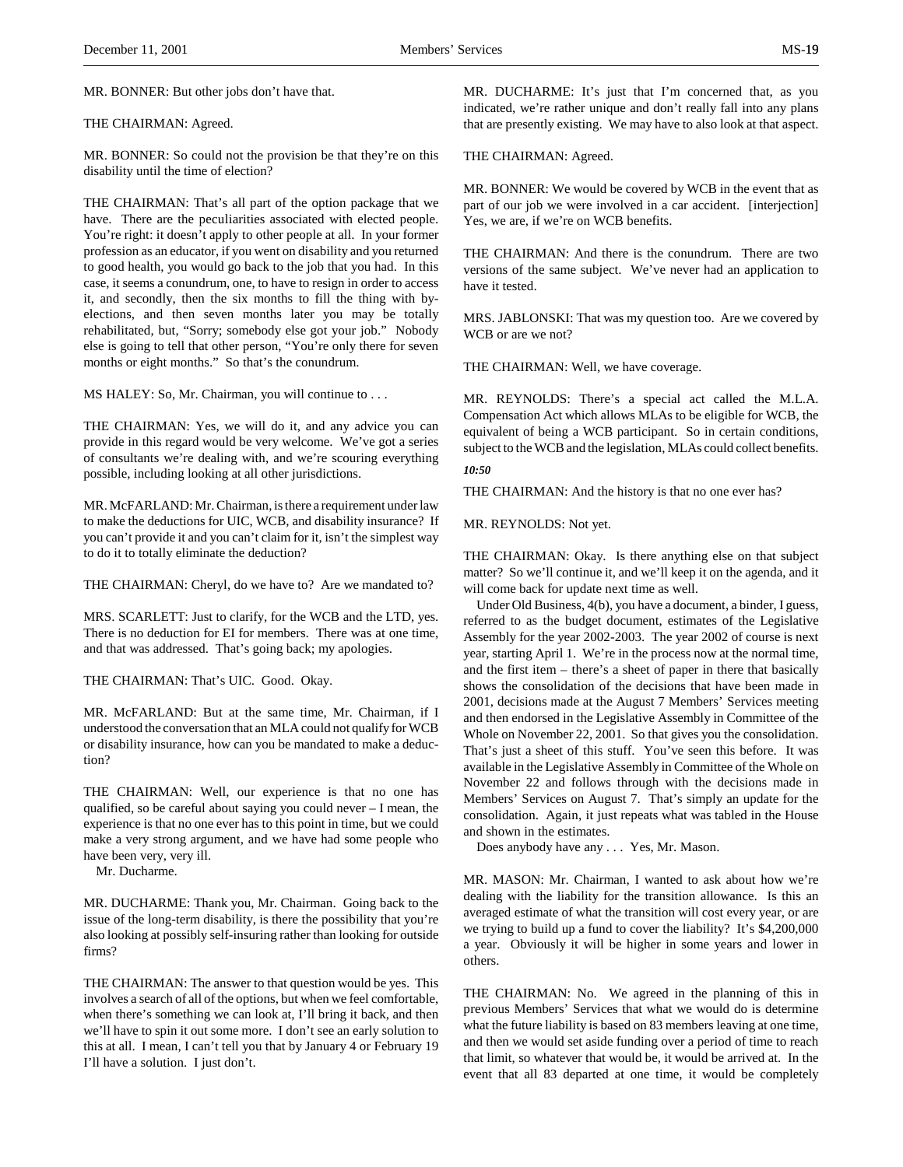MR. BONNER: But other jobs don't have that.

### THE CHAIRMAN: Agreed.

MR. BONNER: So could not the provision be that they're on this disability until the time of election?

THE CHAIRMAN: That's all part of the option package that we have. There are the peculiarities associated with elected people. You're right: it doesn't apply to other people at all. In your former profession as an educator, if you went on disability and you returned to good health, you would go back to the job that you had. In this case, it seems a conundrum, one, to have to resign in order to access it, and secondly, then the six months to fill the thing with byelections, and then seven months later you may be totally rehabilitated, but, "Sorry; somebody else got your job." Nobody else is going to tell that other person, "You're only there for seven months or eight months." So that's the conundrum.

MS HALEY: So, Mr. Chairman, you will continue to . . .

THE CHAIRMAN: Yes, we will do it, and any advice you can provide in this regard would be very welcome. We've got a series of consultants we're dealing with, and we're scouring everything possible, including looking at all other jurisdictions.

MR. McFARLAND: Mr. Chairman, is there a requirement under law to make the deductions for UIC, WCB, and disability insurance? If you can't provide it and you can't claim for it, isn't the simplest way to do it to totally eliminate the deduction?

THE CHAIRMAN: Cheryl, do we have to? Are we mandated to?

MRS. SCARLETT: Just to clarify, for the WCB and the LTD, yes. There is no deduction for EI for members. There was at one time, and that was addressed. That's going back; my apologies.

THE CHAIRMAN: That's UIC. Good. Okay.

MR. McFARLAND: But at the same time, Mr. Chairman, if I understood the conversation that an MLA could not qualify for WCB or disability insurance, how can you be mandated to make a deduction?

THE CHAIRMAN: Well, our experience is that no one has qualified, so be careful about saying you could never – I mean, the experience is that no one ever has to this point in time, but we could make a very strong argument, and we have had some people who have been very, very ill.

Mr. Ducharme.

MR. DUCHARME: Thank you, Mr. Chairman. Going back to the issue of the long-term disability, is there the possibility that you're also looking at possibly self-insuring rather than looking for outside firms?

THE CHAIRMAN: The answer to that question would be yes. This involves a search of all of the options, but when we feel comfortable, when there's something we can look at, I'll bring it back, and then we'll have to spin it out some more. I don't see an early solution to this at all. I mean, I can't tell you that by January 4 or February 19 I'll have a solution. I just don't.

MR. DUCHARME: It's just that I'm concerned that, as you indicated, we're rather unique and don't really fall into any plans that are presently existing. We may have to also look at that aspect.

THE CHAIRMAN: Agreed.

MR. BONNER: We would be covered by WCB in the event that as part of our job we were involved in a car accident. [interjection] Yes, we are, if we're on WCB benefits.

THE CHAIRMAN: And there is the conundrum. There are two versions of the same subject. We've never had an application to have it tested.

MRS. JABLONSKI: That was my question too. Are we covered by WCB or are we not?

THE CHAIRMAN: Well, we have coverage.

MR. REYNOLDS: There's a special act called the M.L.A. Compensation Act which allows MLAs to be eligible for WCB, the equivalent of being a WCB participant. So in certain conditions, subject to the WCB and the legislation, MLAs could collect benefits.

# *10:50*

THE CHAIRMAN: And the history is that no one ever has?

MR. REYNOLDS: Not yet.

THE CHAIRMAN: Okay. Is there anything else on that subject matter? So we'll continue it, and we'll keep it on the agenda, and it will come back for update next time as well.

Under Old Business, 4(b), you have a document, a binder, I guess, referred to as the budget document, estimates of the Legislative Assembly for the year 2002-2003. The year 2002 of course is next year, starting April 1. We're in the process now at the normal time, and the first item – there's a sheet of paper in there that basically shows the consolidation of the decisions that have been made in 2001, decisions made at the August 7 Members' Services meeting and then endorsed in the Legislative Assembly in Committee of the Whole on November 22, 2001. So that gives you the consolidation. That's just a sheet of this stuff. You've seen this before. It was available in the Legislative Assembly in Committee of the Whole on November 22 and follows through with the decisions made in Members' Services on August 7. That's simply an update for the consolidation. Again, it just repeats what was tabled in the House and shown in the estimates.

Does anybody have any . . . Yes, Mr. Mason.

MR. MASON: Mr. Chairman, I wanted to ask about how we're dealing with the liability for the transition allowance. Is this an averaged estimate of what the transition will cost every year, or are we trying to build up a fund to cover the liability? It's \$4,200,000 a year. Obviously it will be higher in some years and lower in others.

THE CHAIRMAN: No. We agreed in the planning of this in previous Members' Services that what we would do is determine what the future liability is based on 83 members leaving at one time, and then we would set aside funding over a period of time to reach that limit, so whatever that would be, it would be arrived at. In the event that all 83 departed at one time, it would be completely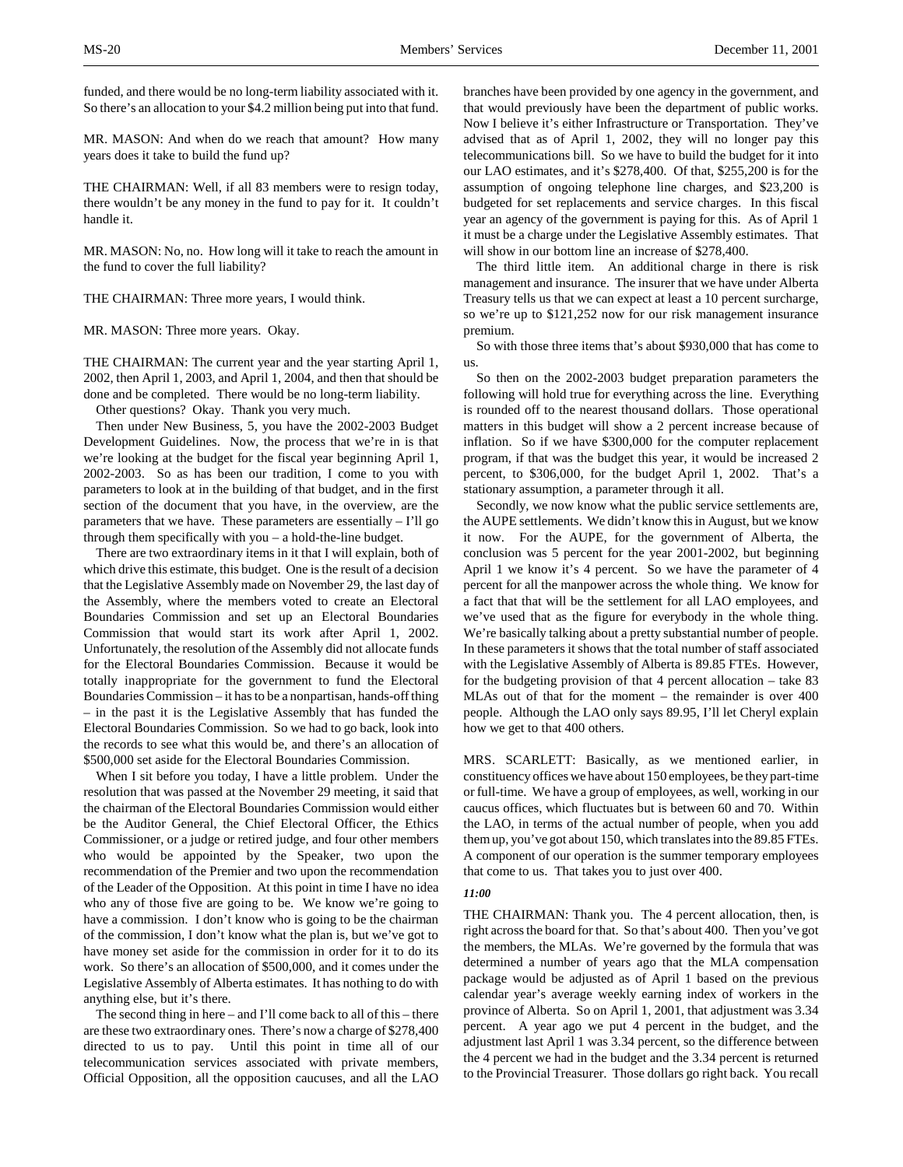funded, and there would be no long-term liability associated with it. So there's an allocation to your \$4.2 million being put into that fund.

MR. MASON: And when do we reach that amount? How many years does it take to build the fund up?

THE CHAIRMAN: Well, if all 83 members were to resign today, there wouldn't be any money in the fund to pay for it. It couldn't handle it.

MR. MASON: No, no. How long will it take to reach the amount in the fund to cover the full liability?

THE CHAIRMAN: Three more years, I would think.

MR. MASON: Three more years. Okay.

THE CHAIRMAN: The current year and the year starting April 1, 2002, then April 1, 2003, and April 1, 2004, and then that should be done and be completed. There would be no long-term liability.

Other questions? Okay. Thank you very much.

Then under New Business, 5, you have the 2002-2003 Budget Development Guidelines. Now, the process that we're in is that we're looking at the budget for the fiscal year beginning April 1, 2002-2003. So as has been our tradition, I come to you with parameters to look at in the building of that budget, and in the first section of the document that you have, in the overview, are the parameters that we have. These parameters are essentially  $-1'$ ll go through them specifically with you – a hold-the-line budget.

There are two extraordinary items in it that I will explain, both of which drive this estimate, this budget. One is the result of a decision that the Legislative Assembly made on November 29, the last day of the Assembly, where the members voted to create an Electoral Boundaries Commission and set up an Electoral Boundaries Commission that would start its work after April 1, 2002. Unfortunately, the resolution of the Assembly did not allocate funds for the Electoral Boundaries Commission. Because it would be totally inappropriate for the government to fund the Electoral Boundaries Commission – it has to be a nonpartisan, hands-off thing – in the past it is the Legislative Assembly that has funded the Electoral Boundaries Commission. So we had to go back, look into the records to see what this would be, and there's an allocation of \$500,000 set aside for the Electoral Boundaries Commission.

When I sit before you today, I have a little problem. Under the resolution that was passed at the November 29 meeting, it said that the chairman of the Electoral Boundaries Commission would either be the Auditor General, the Chief Electoral Officer, the Ethics Commissioner, or a judge or retired judge, and four other members who would be appointed by the Speaker, two upon the recommendation of the Premier and two upon the recommendation of the Leader of the Opposition. At this point in time I have no idea who any of those five are going to be. We know we're going to have a commission. I don't know who is going to be the chairman of the commission, I don't know what the plan is, but we've got to have money set aside for the commission in order for it to do its work. So there's an allocation of \$500,000, and it comes under the Legislative Assembly of Alberta estimates. It has nothing to do with anything else, but it's there.

The second thing in here – and I'll come back to all of this – there are these two extraordinary ones. There's now a charge of \$278,400 directed to us to pay. Until this point in time all of our telecommunication services associated with private members, Official Opposition, all the opposition caucuses, and all the LAO

branches have been provided by one agency in the government, and that would previously have been the department of public works. Now I believe it's either Infrastructure or Transportation. They've advised that as of April 1, 2002, they will no longer pay this telecommunications bill. So we have to build the budget for it into our LAO estimates, and it's \$278,400. Of that, \$255,200 is for the assumption of ongoing telephone line charges, and \$23,200 is budgeted for set replacements and service charges. In this fiscal year an agency of the government is paying for this. As of April 1 it must be a charge under the Legislative Assembly estimates. That will show in our bottom line an increase of \$278,400.

The third little item. An additional charge in there is risk management and insurance. The insurer that we have under Alberta Treasury tells us that we can expect at least a 10 percent surcharge, so we're up to \$121,252 now for our risk management insurance premium.

So with those three items that's about \$930,000 that has come to us.

So then on the 2002-2003 budget preparation parameters the following will hold true for everything across the line. Everything is rounded off to the nearest thousand dollars. Those operational matters in this budget will show a 2 percent increase because of inflation. So if we have \$300,000 for the computer replacement program, if that was the budget this year, it would be increased 2 percent, to \$306,000, for the budget April 1, 2002. That's a stationary assumption, a parameter through it all.

Secondly, we now know what the public service settlements are, the AUPE settlements. We didn't know this in August, but we know it now. For the AUPE, for the government of Alberta, the conclusion was 5 percent for the year 2001-2002, but beginning April 1 we know it's 4 percent. So we have the parameter of 4 percent for all the manpower across the whole thing. We know for a fact that that will be the settlement for all LAO employees, and we've used that as the figure for everybody in the whole thing. We're basically talking about a pretty substantial number of people. In these parameters it shows that the total number of staff associated with the Legislative Assembly of Alberta is 89.85 FTEs. However, for the budgeting provision of that 4 percent allocation – take 83 MLAs out of that for the moment – the remainder is over 400 people. Although the LAO only says 89.95, I'll let Cheryl explain how we get to that 400 others.

MRS. SCARLETT: Basically, as we mentioned earlier, in constituency offices we have about 150 employees, be they part-time or full-time. We have a group of employees, as well, working in our caucus offices, which fluctuates but is between 60 and 70. Within the LAO, in terms of the actual number of people, when you add them up, you've got about 150, which translates into the 89.85 FTEs. A component of our operation is the summer temporary employees that come to us. That takes you to just over 400.

#### *11:00*

THE CHAIRMAN: Thank you. The 4 percent allocation, then, is right across the board for that. So that's about 400. Then you've got the members, the MLAs. We're governed by the formula that was determined a number of years ago that the MLA compensation package would be adjusted as of April 1 based on the previous calendar year's average weekly earning index of workers in the province of Alberta. So on April 1, 2001, that adjustment was 3.34 percent. A year ago we put 4 percent in the budget, and the adjustment last April 1 was 3.34 percent, so the difference between the 4 percent we had in the budget and the 3.34 percent is returned to the Provincial Treasurer. Those dollars go right back. You recall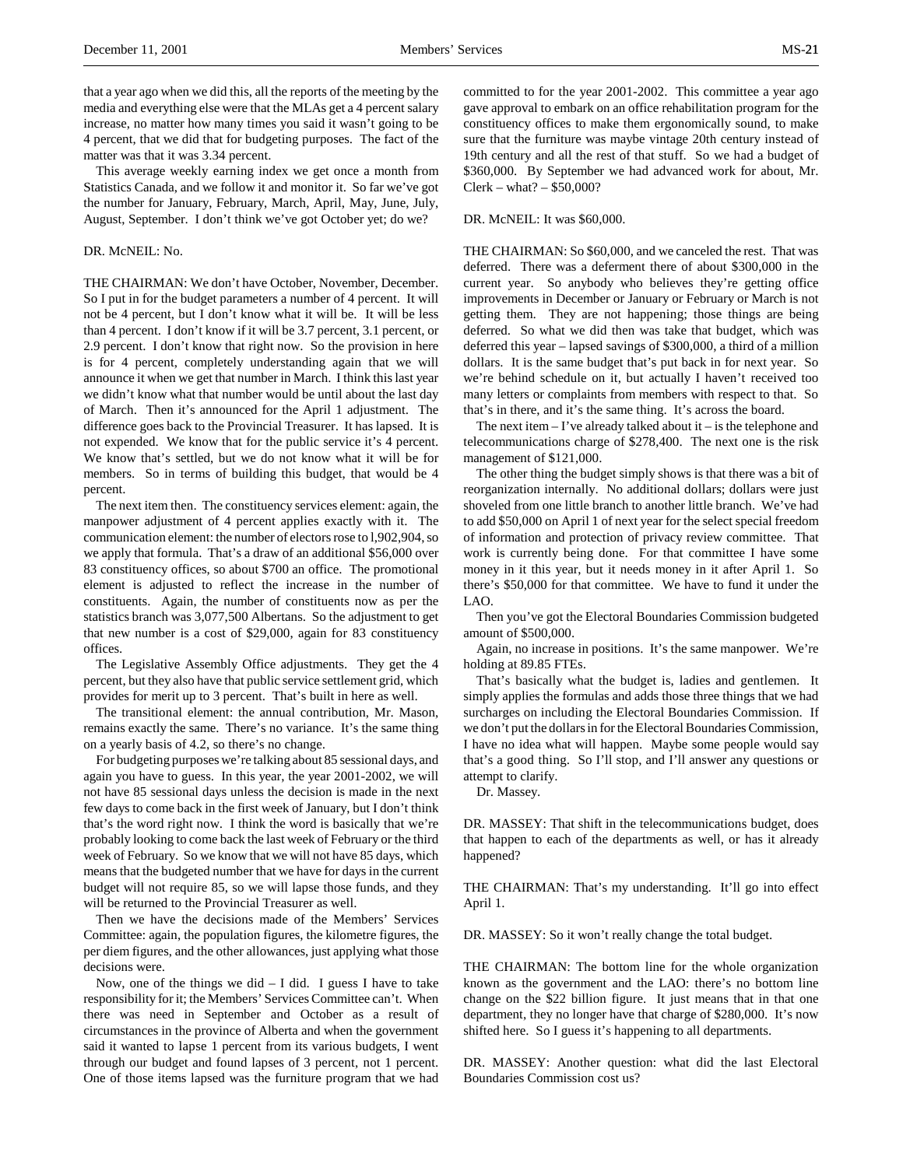that a year ago when we did this, all the reports of the meeting by the media and everything else were that the MLAs get a 4 percent salary increase, no matter how many times you said it wasn't going to be 4 percent, that we did that for budgeting purposes. The fact of the matter was that it was 3.34 percent.

This average weekly earning index we get once a month from Statistics Canada, and we follow it and monitor it. So far we've got the number for January, February, March, April, May, June, July, August, September. I don't think we've got October yet; do we?

### DR. McNEIL: No.

THE CHAIRMAN: We don't have October, November, December. So I put in for the budget parameters a number of 4 percent. It will not be 4 percent, but I don't know what it will be. It will be less than 4 percent. I don't know if it will be 3.7 percent, 3.1 percent, or 2.9 percent. I don't know that right now. So the provision in here is for 4 percent, completely understanding again that we will announce it when we get that number in March. I think this last year we didn't know what that number would be until about the last day of March. Then it's announced for the April 1 adjustment. The difference goes back to the Provincial Treasurer. It has lapsed. It is not expended. We know that for the public service it's 4 percent. We know that's settled, but we do not know what it will be for members. So in terms of building this budget, that would be 4 percent.

The next item then. The constituency services element: again, the manpower adjustment of 4 percent applies exactly with it. The communication element: the number of electors rose to l,902,904, so we apply that formula. That's a draw of an additional \$56,000 over 83 constituency offices, so about \$700 an office. The promotional element is adjusted to reflect the increase in the number of constituents. Again, the number of constituents now as per the statistics branch was 3,077,500 Albertans. So the adjustment to get that new number is a cost of \$29,000, again for 83 constituency offices.

The Legislative Assembly Office adjustments. They get the 4 percent, but they also have that public service settlement grid, which provides for merit up to 3 percent. That's built in here as well.

The transitional element: the annual contribution, Mr. Mason, remains exactly the same. There's no variance. It's the same thing on a yearly basis of 4.2, so there's no change.

For budgeting purposes we're talking about 85 sessional days, and again you have to guess. In this year, the year 2001-2002, we will not have 85 sessional days unless the decision is made in the next few days to come back in the first week of January, but I don't think that's the word right now. I think the word is basically that we're probably looking to come back the last week of February or the third week of February. So we know that we will not have 85 days, which means that the budgeted number that we have for days in the current budget will not require 85, so we will lapse those funds, and they will be returned to the Provincial Treasurer as well.

Then we have the decisions made of the Members' Services Committee: again, the population figures, the kilometre figures, the per diem figures, and the other allowances, just applying what those decisions were.

Now, one of the things we did  $- I$  did. I guess I have to take responsibility for it; the Members' Services Committee can't. When there was need in September and October as a result of circumstances in the province of Alberta and when the government said it wanted to lapse 1 percent from its various budgets, I went through our budget and found lapses of 3 percent, not 1 percent. One of those items lapsed was the furniture program that we had

committed to for the year 2001-2002. This committee a year ago gave approval to embark on an office rehabilitation program for the constituency offices to make them ergonomically sound, to make sure that the furniture was maybe vintage 20th century instead of 19th century and all the rest of that stuff. So we had a budget of \$360,000. By September we had advanced work for about, Mr. Clerk – what? – \$50,000?

### DR. McNEIL: It was \$60,000.

THE CHAIRMAN: So \$60,000, and we canceled the rest. That was deferred. There was a deferment there of about \$300,000 in the current year. So anybody who believes they're getting office improvements in December or January or February or March is not getting them. They are not happening; those things are being deferred. So what we did then was take that budget, which was deferred this year – lapsed savings of \$300,000, a third of a million dollars. It is the same budget that's put back in for next year. So we're behind schedule on it, but actually I haven't received too many letters or complaints from members with respect to that. So that's in there, and it's the same thing. It's across the board.

The next item  $-$  I've already talked about it  $-$  is the telephone and telecommunications charge of \$278,400. The next one is the risk management of \$121,000.

The other thing the budget simply shows is that there was a bit of reorganization internally. No additional dollars; dollars were just shoveled from one little branch to another little branch. We've had to add \$50,000 on April 1 of next year for the select special freedom of information and protection of privacy review committee. That work is currently being done. For that committee I have some money in it this year, but it needs money in it after April 1. So there's \$50,000 for that committee. We have to fund it under the LAO.

Then you've got the Electoral Boundaries Commission budgeted amount of \$500,000.

Again, no increase in positions. It's the same manpower. We're holding at 89.85 FTEs.

That's basically what the budget is, ladies and gentlemen. It simply applies the formulas and adds those three things that we had surcharges on including the Electoral Boundaries Commission. If we don't put the dollars in for the Electoral Boundaries Commission, I have no idea what will happen. Maybe some people would say that's a good thing. So I'll stop, and I'll answer any questions or attempt to clarify.

Dr. Massey.

DR. MASSEY: That shift in the telecommunications budget, does that happen to each of the departments as well, or has it already happened?

THE CHAIRMAN: That's my understanding. It'll go into effect April 1.

DR. MASSEY: So it won't really change the total budget.

THE CHAIRMAN: The bottom line for the whole organization known as the government and the LAO: there's no bottom line change on the \$22 billion figure. It just means that in that one department, they no longer have that charge of \$280,000. It's now shifted here. So I guess it's happening to all departments.

DR. MASSEY: Another question: what did the last Electoral Boundaries Commission cost us?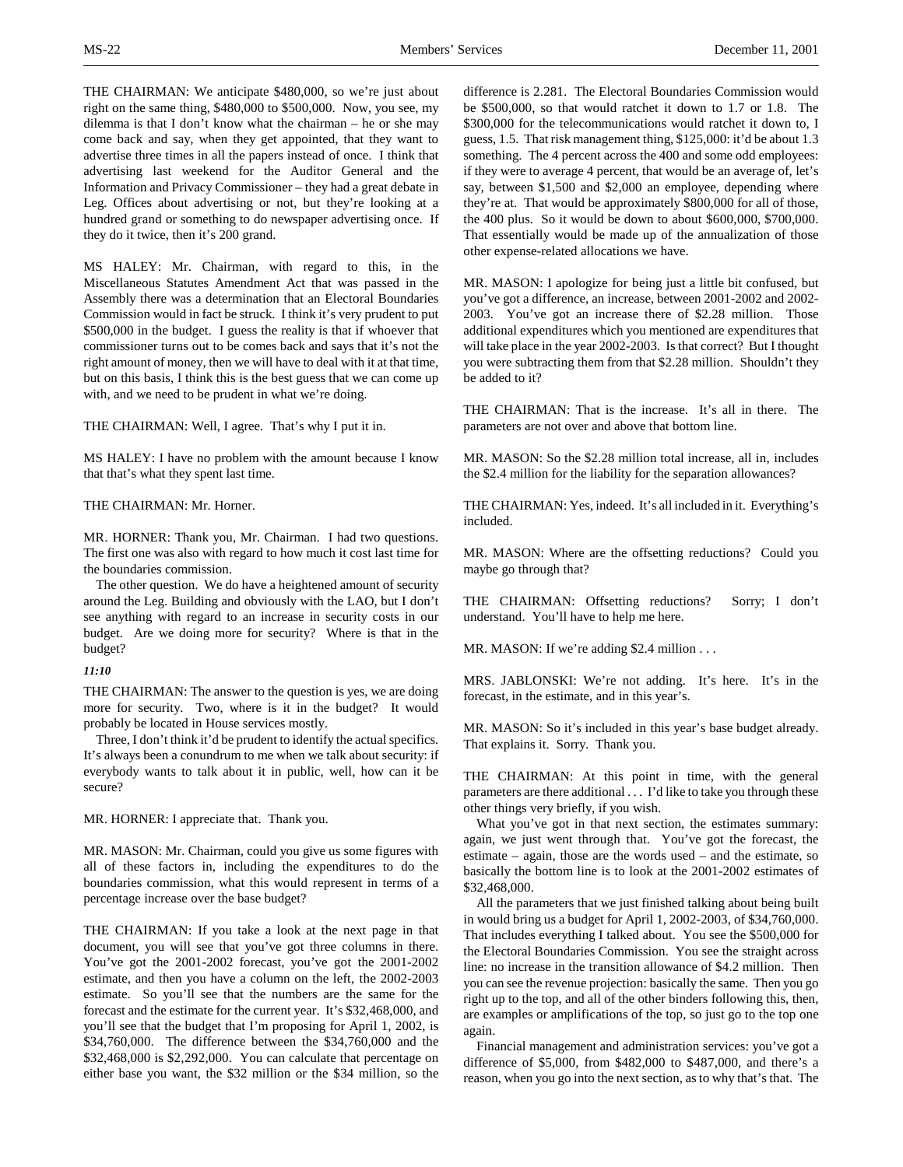THE CHAIRMAN: We anticipate \$480,000, so we're just about right on the same thing, \$480,000 to \$500,000. Now, you see, my dilemma is that I don't know what the chairman – he or she may come back and say, when they get appointed, that they want to advertise three times in all the papers instead of once. I think that advertising last weekend for the Auditor General and the Information and Privacy Commissioner – they had a great debate in Leg. Offices about advertising or not, but they're looking at a hundred grand or something to do newspaper advertising once. If they do it twice, then it's 200 grand.

MS HALEY: Mr. Chairman, with regard to this, in the Miscellaneous Statutes Amendment Act that was passed in the Assembly there was a determination that an Electoral Boundaries Commission would in fact be struck. I think it's very prudent to put \$500,000 in the budget. I guess the reality is that if whoever that commissioner turns out to be comes back and says that it's not the right amount of money, then we will have to deal with it at that time, but on this basis, I think this is the best guess that we can come up with, and we need to be prudent in what we're doing.

THE CHAIRMAN: Well, I agree. That's why I put it in.

MS HALEY: I have no problem with the amount because I know that that's what they spent last time.

### THE CHAIRMAN: Mr. Horner.

MR. HORNER: Thank you, Mr. Chairman. I had two questions. The first one was also with regard to how much it cost last time for the boundaries commission.

The other question. We do have a heightened amount of security around the Leg. Building and obviously with the LAO, but I don't see anything with regard to an increase in security costs in our budget. Are we doing more for security? Where is that in the budget?

## *11:10*

THE CHAIRMAN: The answer to the question is yes, we are doing more for security. Two, where is it in the budget? It would probably be located in House services mostly.

Three, I don't think it'd be prudent to identify the actual specifics. It's always been a conundrum to me when we talk about security: if everybody wants to talk about it in public, well, how can it be secure?

MR. HORNER: I appreciate that. Thank you.

MR. MASON: Mr. Chairman, could you give us some figures with all of these factors in, including the expenditures to do the boundaries commission, what this would represent in terms of a percentage increase over the base budget?

THE CHAIRMAN: If you take a look at the next page in that document, you will see that you've got three columns in there. You've got the 2001-2002 forecast, you've got the 2001-2002 estimate, and then you have a column on the left, the 2002-2003 estimate. So you'll see that the numbers are the same for the forecast and the estimate for the current year. It's \$32,468,000, and you'll see that the budget that I'm proposing for April 1, 2002, is \$34,760,000. The difference between the \$34,760,000 and the \$32,468,000 is \$2,292,000. You can calculate that percentage on either base you want, the \$32 million or the \$34 million, so the

difference is 2.281. The Electoral Boundaries Commission would be \$500,000, so that would ratchet it down to 1.7 or 1.8. The \$300,000 for the telecommunications would ratchet it down to, I guess, 1.5. That risk management thing, \$125,000: it'd be about 1.3 something. The 4 percent across the 400 and some odd employees: if they were to average 4 percent, that would be an average of, let's say, between \$1,500 and \$2,000 an employee, depending where they're at. That would be approximately \$800,000 for all of those, the 400 plus. So it would be down to about \$600,000, \$700,000. That essentially would be made up of the annualization of those other expense-related allocations we have.

MR. MASON: I apologize for being just a little bit confused, but you've got a difference, an increase, between 2001-2002 and 2002- 2003. You've got an increase there of \$2.28 million. Those additional expenditures which you mentioned are expenditures that will take place in the year 2002-2003. Is that correct? But I thought you were subtracting them from that \$2.28 million. Shouldn't they be added to it?

THE CHAIRMAN: That is the increase. It's all in there. The parameters are not over and above that bottom line.

MR. MASON: So the \$2.28 million total increase, all in, includes the \$2.4 million for the liability for the separation allowances?

THE CHAIRMAN: Yes, indeed. It's all included in it. Everything's included.

MR. MASON: Where are the offsetting reductions? Could you maybe go through that?

THE CHAIRMAN: Offsetting reductions? Sorry; I don't understand. You'll have to help me here.

MR. MASON: If we're adding \$2.4 million . . .

MRS. JABLONSKI: We're not adding. It's here. It's in the forecast, in the estimate, and in this year's.

MR. MASON: So it's included in this year's base budget already. That explains it. Sorry. Thank you.

THE CHAIRMAN: At this point in time, with the general parameters are there additional . . . I'd like to take you through these other things very briefly, if you wish.

What you've got in that next section, the estimates summary: again, we just went through that. You've got the forecast, the estimate – again, those are the words used – and the estimate, so basically the bottom line is to look at the 2001-2002 estimates of \$32,468,000.

All the parameters that we just finished talking about being built in would bring us a budget for April 1, 2002-2003, of \$34,760,000. That includes everything I talked about. You see the \$500,000 for the Electoral Boundaries Commission. You see the straight across line: no increase in the transition allowance of \$4.2 million. Then you can see the revenue projection: basically the same. Then you go right up to the top, and all of the other binders following this, then, are examples or amplifications of the top, so just go to the top one again.

Financial management and administration services: you've got a difference of \$5,000, from \$482,000 to \$487,000, and there's a reason, when you go into the next section, as to why that's that. The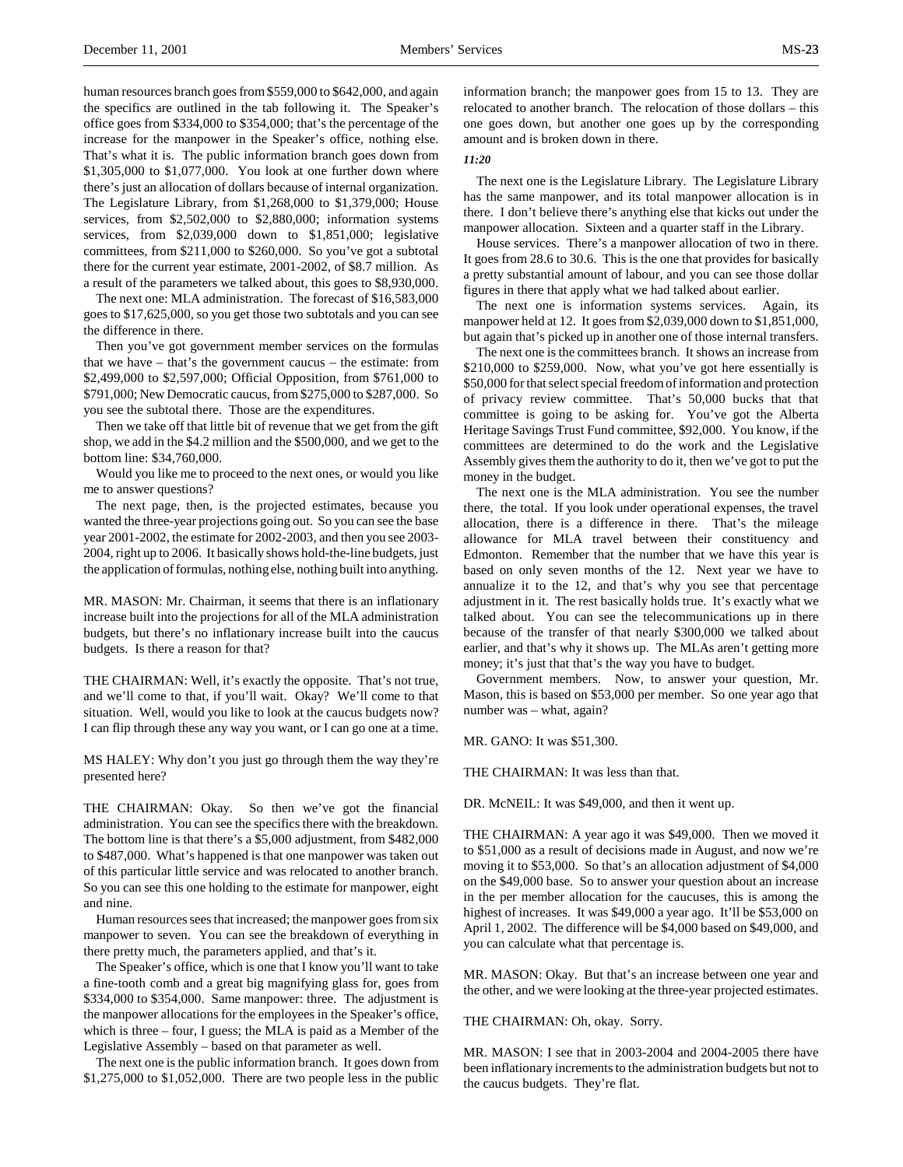human resources branch goes from \$559,000 to \$642,000, and again the specifics are outlined in the tab following it. The Speaker's office goes from \$334,000 to \$354,000; that's the percentage of the increase for the manpower in the Speaker's office, nothing else. That's what it is. The public information branch goes down from \$1,305,000 to \$1,077,000. You look at one further down where there's just an allocation of dollars because of internal organization. The Legislature Library, from \$1,268,000 to \$1,379,000; House services, from \$2,502,000 to \$2,880,000; information systems services, from \$2,039,000 down to \$1,851,000; legislative committees, from \$211,000 to \$260,000. So you've got a subtotal there for the current year estimate, 2001-2002, of \$8.7 million. As a result of the parameters we talked about, this goes to \$8,930,000.

The next one: MLA administration. The forecast of \$16,583,000 goes to \$17,625,000, so you get those two subtotals and you can see the difference in there.

Then you've got government member services on the formulas that we have – that's the government caucus – the estimate: from \$2,499,000 to \$2,597,000; Official Opposition, from \$761,000 to \$791,000; New Democratic caucus, from \$275,000 to \$287,000. So you see the subtotal there. Those are the expenditures.

Then we take off that little bit of revenue that we get from the gift shop, we add in the \$4.2 million and the \$500,000, and we get to the bottom line: \$34,760,000.

Would you like me to proceed to the next ones, or would you like me to answer questions?

The next page, then, is the projected estimates, because you wanted the three-year projections going out. So you can see the base year 2001-2002, the estimate for 2002-2003, and then you see 2003- 2004, right up to 2006. It basically shows hold-the-line budgets, just the application of formulas, nothing else, nothing built into anything.

MR. MASON: Mr. Chairman, it seems that there is an inflationary increase built into the projections for all of the MLA administration budgets, but there's no inflationary increase built into the caucus budgets. Is there a reason for that?

THE CHAIRMAN: Well, it's exactly the opposite. That's not true, and we'll come to that, if you'll wait. Okay? We'll come to that situation. Well, would you like to look at the caucus budgets now? I can flip through these any way you want, or I can go one at a time.

MS HALEY: Why don't you just go through them the way they're presented here?

THE CHAIRMAN: Okay. So then we've got the financial administration. You can see the specifics there with the breakdown. The bottom line is that there's a \$5,000 adjustment, from \$482,000 to \$487,000. What's happened is that one manpower was taken out of this particular little service and was relocated to another branch. So you can see this one holding to the estimate for manpower, eight and nine.

Human resources sees that increased; the manpower goes from six manpower to seven. You can see the breakdown of everything in there pretty much, the parameters applied, and that's it.

The Speaker's office, which is one that I know you'll want to take a fine-tooth comb and a great big magnifying glass for, goes from \$334,000 to \$354,000. Same manpower: three. The adjustment is the manpower allocations for the employees in the Speaker's office, which is three – four, I guess; the MLA is paid as a Member of the Legislative Assembly – based on that parameter as well.

The next one is the public information branch. It goes down from \$1,275,000 to \$1,052,000. There are two people less in the public

information branch; the manpower goes from 15 to 13. They are relocated to another branch. The relocation of those dollars – this one goes down, but another one goes up by the corresponding amount and is broken down in there.

# *11:20*

The next one is the Legislature Library. The Legislature Library has the same manpower, and its total manpower allocation is in there. I don't believe there's anything else that kicks out under the manpower allocation. Sixteen and a quarter staff in the Library.

House services. There's a manpower allocation of two in there. It goes from 28.6 to 30.6. This is the one that provides for basically a pretty substantial amount of labour, and you can see those dollar figures in there that apply what we had talked about earlier.

The next one is information systems services. Again, its manpower held at 12. It goes from \$2,039,000 down to \$1,851,000, but again that's picked up in another one of those internal transfers.

The next one is the committees branch. It shows an increase from \$210,000 to \$259,000. Now, what you've got here essentially is \$50,000 for that select special freedom of information and protection of privacy review committee. That's 50,000 bucks that that committee is going to be asking for. You've got the Alberta Heritage Savings Trust Fund committee, \$92,000. You know, if the committees are determined to do the work and the Legislative Assembly gives them the authority to do it, then we've got to put the money in the budget.

The next one is the MLA administration. You see the number there, the total. If you look under operational expenses, the travel allocation, there is a difference in there. That's the mileage allowance for MLA travel between their constituency and Edmonton. Remember that the number that we have this year is based on only seven months of the 12. Next year we have to annualize it to the 12, and that's why you see that percentage adjustment in it. The rest basically holds true. It's exactly what we talked about. You can see the telecommunications up in there because of the transfer of that nearly \$300,000 we talked about earlier, and that's why it shows up. The MLAs aren't getting more money; it's just that that's the way you have to budget.

Government members. Now, to answer your question, Mr. Mason, this is based on \$53,000 per member. So one year ago that number was – what, again?

MR. GANO: It was \$51,300.

THE CHAIRMAN: It was less than that.

DR. McNEIL: It was \$49,000, and then it went up.

THE CHAIRMAN: A year ago it was \$49,000. Then we moved it to \$51,000 as a result of decisions made in August, and now we're moving it to \$53,000. So that's an allocation adjustment of \$4,000 on the \$49,000 base. So to answer your question about an increase in the per member allocation for the caucuses, this is among the highest of increases. It was \$49,000 a year ago. It'll be \$53,000 on April 1, 2002. The difference will be \$4,000 based on \$49,000, and you can calculate what that percentage is.

MR. MASON: Okay. But that's an increase between one year and the other, and we were looking at the three-year projected estimates.

## THE CHAIRMAN: Oh, okay. Sorry.

MR. MASON: I see that in 2003-2004 and 2004-2005 there have been inflationary increments to the administration budgets but not to the caucus budgets. They're flat.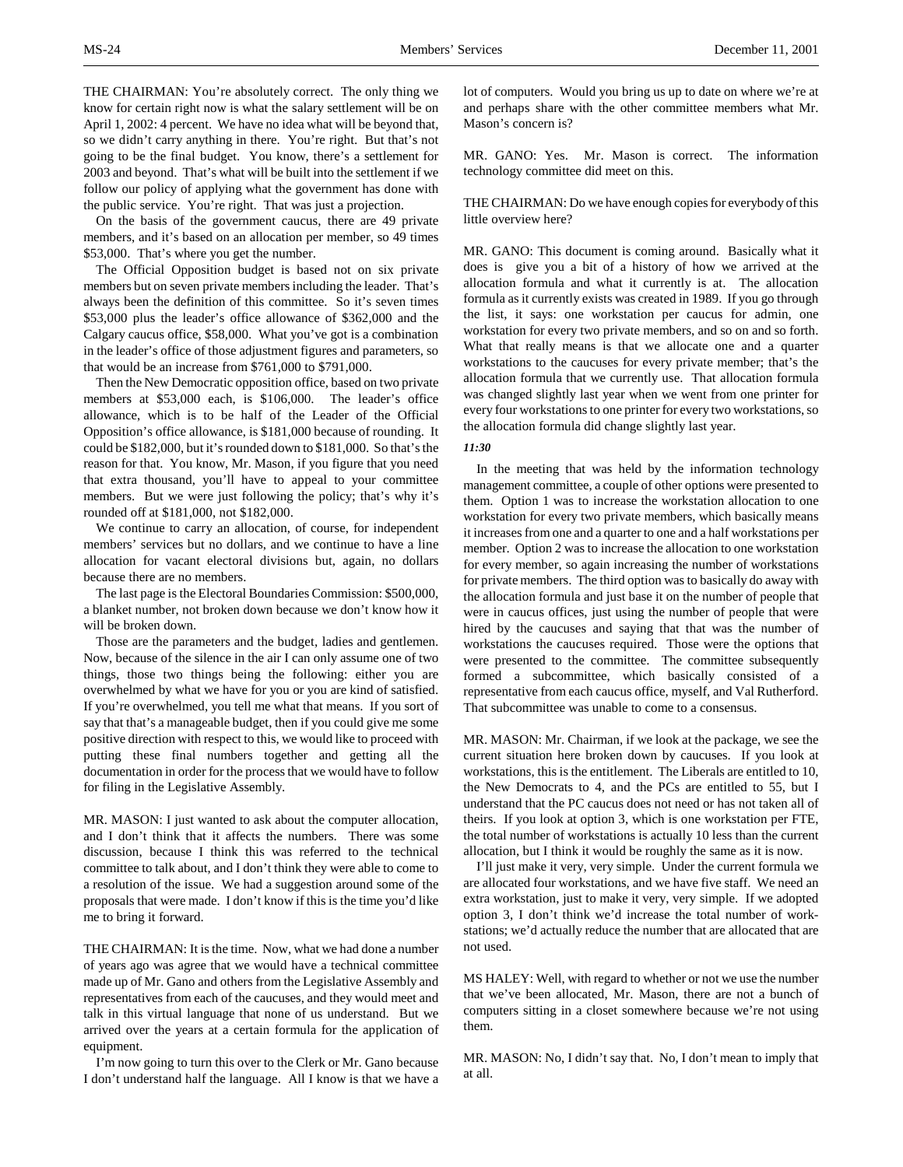THE CHAIRMAN: You're absolutely correct. The only thing we know for certain right now is what the salary settlement will be on April 1, 2002: 4 percent. We have no idea what will be beyond that, so we didn't carry anything in there. You're right. But that's not going to be the final budget. You know, there's a settlement for 2003 and beyond. That's what will be built into the settlement if we follow our policy of applying what the government has done with the public service. You're right. That was just a projection.

On the basis of the government caucus, there are 49 private members, and it's based on an allocation per member, so 49 times \$53,000. That's where you get the number.

The Official Opposition budget is based not on six private members but on seven private members including the leader. That's always been the definition of this committee. So it's seven times \$53,000 plus the leader's office allowance of \$362,000 and the Calgary caucus office, \$58,000. What you've got is a combination in the leader's office of those adjustment figures and parameters, so that would be an increase from \$761,000 to \$791,000.

Then the New Democratic opposition office, based on two private members at \$53,000 each, is \$106,000. The leader's office allowance, which is to be half of the Leader of the Official Opposition's office allowance, is \$181,000 because of rounding. It could be \$182,000, but it's rounded down to \$181,000. So that's the reason for that. You know, Mr. Mason, if you figure that you need that extra thousand, you'll have to appeal to your committee members. But we were just following the policy; that's why it's rounded off at \$181,000, not \$182,000.

We continue to carry an allocation, of course, for independent members' services but no dollars, and we continue to have a line allocation for vacant electoral divisions but, again, no dollars because there are no members.

The last page is the Electoral Boundaries Commission: \$500,000, a blanket number, not broken down because we don't know how it will be broken down.

Those are the parameters and the budget, ladies and gentlemen. Now, because of the silence in the air I can only assume one of two things, those two things being the following: either you are overwhelmed by what we have for you or you are kind of satisfied. If you're overwhelmed, you tell me what that means. If you sort of say that that's a manageable budget, then if you could give me some positive direction with respect to this, we would like to proceed with putting these final numbers together and getting all the documentation in order for the process that we would have to follow for filing in the Legislative Assembly.

MR. MASON: I just wanted to ask about the computer allocation, and I don't think that it affects the numbers. There was some discussion, because I think this was referred to the technical committee to talk about, and I don't think they were able to come to a resolution of the issue. We had a suggestion around some of the proposals that were made. I don't know if this is the time you'd like me to bring it forward.

THE CHAIRMAN: It is the time. Now, what we had done a number of years ago was agree that we would have a technical committee made up of Mr. Gano and others from the Legislative Assembly and representatives from each of the caucuses, and they would meet and talk in this virtual language that none of us understand. But we arrived over the years at a certain formula for the application of equipment.

I'm now going to turn this over to the Clerk or Mr. Gano because I don't understand half the language. All I know is that we have a

lot of computers. Would you bring us up to date on where we're at and perhaps share with the other committee members what Mr. Mason's concern is?

MR. GANO: Yes. Mr. Mason is correct. The information technology committee did meet on this.

THE CHAIRMAN: Do we have enough copies for everybody of this little overview here?

MR. GANO: This document is coming around. Basically what it does is give you a bit of a history of how we arrived at the allocation formula and what it currently is at. The allocation formula as it currently exists was created in 1989. If you go through the list, it says: one workstation per caucus for admin, one workstation for every two private members, and so on and so forth. What that really means is that we allocate one and a quarter workstations to the caucuses for every private member; that's the allocation formula that we currently use. That allocation formula was changed slightly last year when we went from one printer for every four workstations to one printer for every two workstations, so the allocation formula did change slightly last year.

#### *11:30*

In the meeting that was held by the information technology management committee, a couple of other options were presented to them. Option 1 was to increase the workstation allocation to one workstation for every two private members, which basically means it increases from one and a quarter to one and a half workstations per member. Option 2 was to increase the allocation to one workstation for every member, so again increasing the number of workstations for private members. The third option was to basically do away with the allocation formula and just base it on the number of people that were in caucus offices, just using the number of people that were hired by the caucuses and saying that that was the number of workstations the caucuses required. Those were the options that were presented to the committee. The committee subsequently formed a subcommittee, which basically consisted of a representative from each caucus office, myself, and Val Rutherford. That subcommittee was unable to come to a consensus.

MR. MASON: Mr. Chairman, if we look at the package, we see the current situation here broken down by caucuses. If you look at workstations, this is the entitlement. The Liberals are entitled to 10, the New Democrats to 4, and the PCs are entitled to 55, but I understand that the PC caucus does not need or has not taken all of theirs. If you look at option 3, which is one workstation per FTE, the total number of workstations is actually 10 less than the current allocation, but I think it would be roughly the same as it is now.

I'll just make it very, very simple. Under the current formula we are allocated four workstations, and we have five staff. We need an extra workstation, just to make it very, very simple. If we adopted option 3, I don't think we'd increase the total number of workstations; we'd actually reduce the number that are allocated that are not used.

MS HALEY: Well, with regard to whether or not we use the number that we've been allocated, Mr. Mason, there are not a bunch of computers sitting in a closet somewhere because we're not using them.

MR. MASON: No, I didn't say that. No, I don't mean to imply that at all.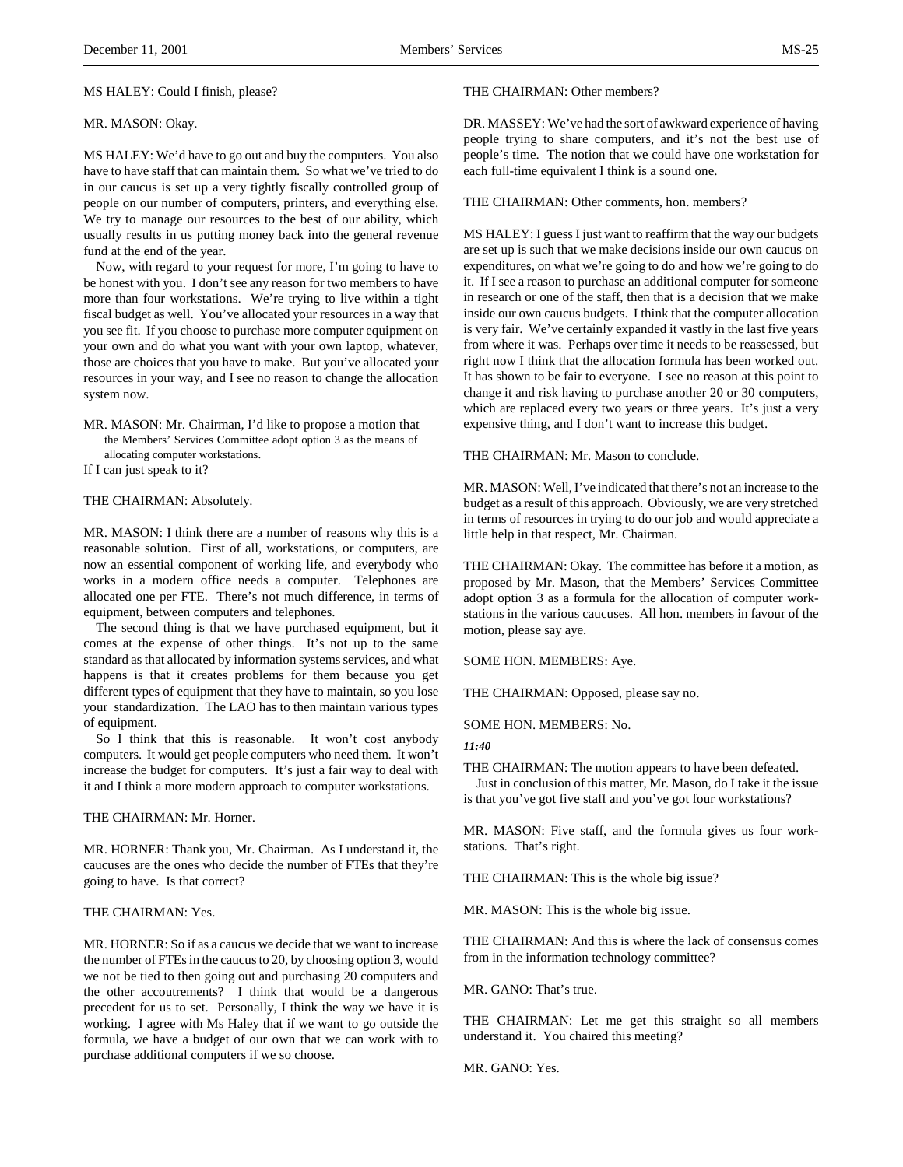### MS HALEY: Could I finish, please?

### MR. MASON: Okay.

MS HALEY: We'd have to go out and buy the computers. You also have to have staff that can maintain them. So what we've tried to do in our caucus is set up a very tightly fiscally controlled group of people on our number of computers, printers, and everything else. We try to manage our resources to the best of our ability, which usually results in us putting money back into the general revenue fund at the end of the year.

Now, with regard to your request for more, I'm going to have to be honest with you. I don't see any reason for two members to have more than four workstations. We're trying to live within a tight fiscal budget as well. You've allocated your resources in a way that you see fit. If you choose to purchase more computer equipment on your own and do what you want with your own laptop, whatever, those are choices that you have to make. But you've allocated your resources in your way, and I see no reason to change the allocation system now.

MR. MASON: Mr. Chairman, I'd like to propose a motion that the Members' Services Committee adopt option 3 as the means of allocating computer workstations.

If I can just speak to it?

### THE CHAIRMAN: Absolutely.

MR. MASON: I think there are a number of reasons why this is a reasonable solution. First of all, workstations, or computers, are now an essential component of working life, and everybody who works in a modern office needs a computer. Telephones are allocated one per FTE. There's not much difference, in terms of equipment, between computers and telephones.

The second thing is that we have purchased equipment, but it comes at the expense of other things. It's not up to the same standard as that allocated by information systems services, and what happens is that it creates problems for them because you get different types of equipment that they have to maintain, so you lose your standardization. The LAO has to then maintain various types of equipment.

So I think that this is reasonable. It won't cost anybody computers. It would get people computers who need them. It won't increase the budget for computers. It's just a fair way to deal with it and I think a more modern approach to computer workstations.

THE CHAIRMAN: Mr. Horner.

MR. HORNER: Thank you, Mr. Chairman. As I understand it, the caucuses are the ones who decide the number of FTEs that they're going to have. Is that correct?

# THE CHAIRMAN: Yes.

MR. HORNER: So if as a caucus we decide that we want to increase the number of FTEs in the caucus to 20, by choosing option 3, would we not be tied to then going out and purchasing 20 computers and the other accoutrements? I think that would be a dangerous precedent for us to set. Personally, I think the way we have it is working. I agree with Ms Haley that if we want to go outside the formula, we have a budget of our own that we can work with to purchase additional computers if we so choose.

### THE CHAIRMAN: Other members?

DR. MASSEY: We've had the sort of awkward experience of having people trying to share computers, and it's not the best use of people's time. The notion that we could have one workstation for each full-time equivalent I think is a sound one.

THE CHAIRMAN: Other comments, hon. members?

MS HALEY: I guess I just want to reaffirm that the way our budgets are set up is such that we make decisions inside our own caucus on expenditures, on what we're going to do and how we're going to do it. If I see a reason to purchase an additional computer for someone in research or one of the staff, then that is a decision that we make inside our own caucus budgets. I think that the computer allocation is very fair. We've certainly expanded it vastly in the last five years from where it was. Perhaps over time it needs to be reassessed, but right now I think that the allocation formula has been worked out. It has shown to be fair to everyone. I see no reason at this point to change it and risk having to purchase another 20 or 30 computers, which are replaced every two years or three years. It's just a very expensive thing, and I don't want to increase this budget.

THE CHAIRMAN: Mr. Mason to conclude.

MR. MASON: Well, I've indicated that there's not an increase to the budget as a result of this approach. Obviously, we are very stretched in terms of resources in trying to do our job and would appreciate a little help in that respect, Mr. Chairman.

THE CHAIRMAN: Okay. The committee has before it a motion, as proposed by Mr. Mason, that the Members' Services Committee adopt option 3 as a formula for the allocation of computer workstations in the various caucuses. All hon. members in favour of the motion, please say aye.

SOME HON. MEMBERS: Aye.

THE CHAIRMAN: Opposed, please say no.

SOME HON. MEMBERS: No.

*11:40*

THE CHAIRMAN: The motion appears to have been defeated.

Just in conclusion of this matter, Mr. Mason, do I take it the issue is that you've got five staff and you've got four workstations?

MR. MASON: Five staff, and the formula gives us four workstations. That's right.

THE CHAIRMAN: This is the whole big issue?

MR. MASON: This is the whole big issue.

THE CHAIRMAN: And this is where the lack of consensus comes from in the information technology committee?

MR. GANO: That's true.

THE CHAIRMAN: Let me get this straight so all members understand it. You chaired this meeting?

MR. GANO: Yes.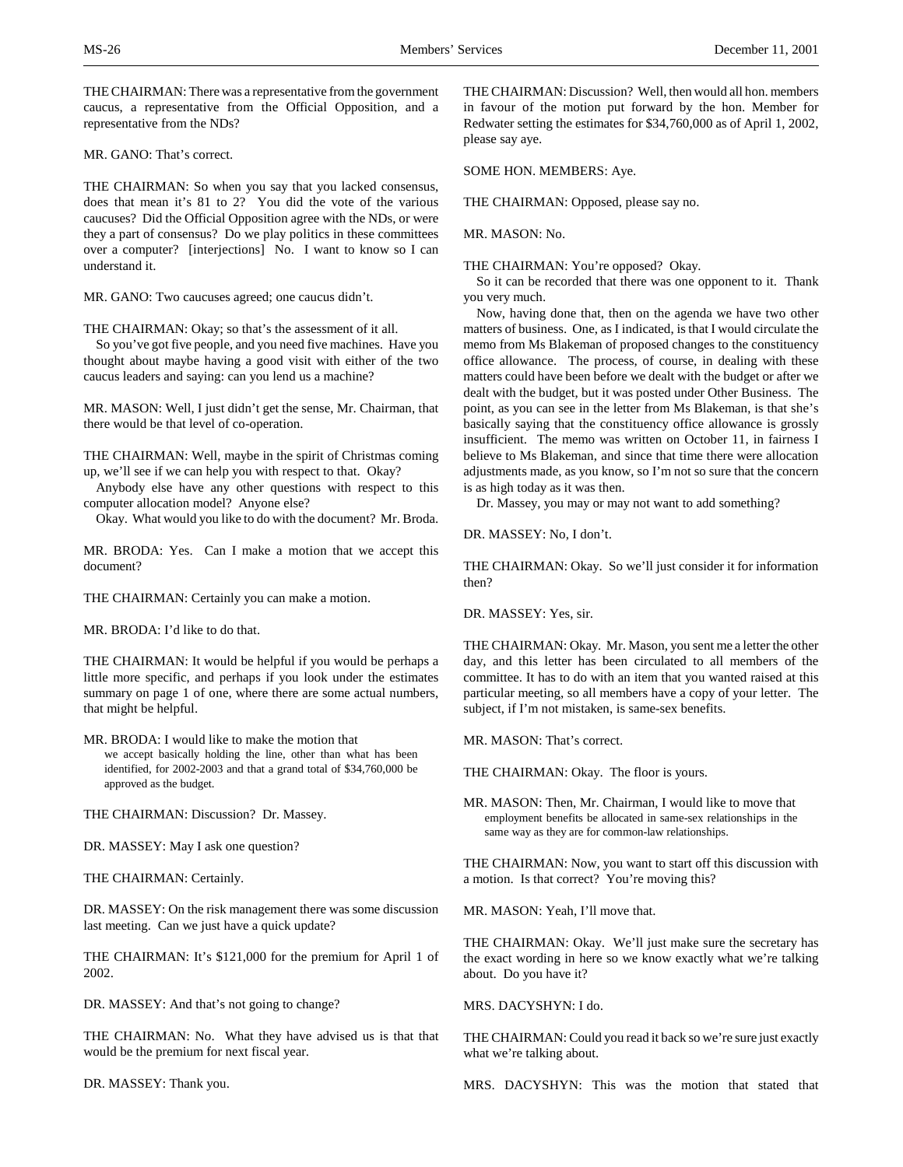THE CHAIRMAN: There was a representative from the government caucus, a representative from the Official Opposition, and a representative from the NDs?

MR. GANO: That's correct.

THE CHAIRMAN: So when you say that you lacked consensus, does that mean it's 81 to 2? You did the vote of the various caucuses? Did the Official Opposition agree with the NDs, or were they a part of consensus? Do we play politics in these committees over a computer? [interjections] No. I want to know so I can understand it.

MR. GANO: Two caucuses agreed; one caucus didn't.

THE CHAIRMAN: Okay; so that's the assessment of it all.

So you've got five people, and you need five machines. Have you thought about maybe having a good visit with either of the two caucus leaders and saying: can you lend us a machine?

MR. MASON: Well, I just didn't get the sense, Mr. Chairman, that there would be that level of co-operation.

THE CHAIRMAN: Well, maybe in the spirit of Christmas coming up, we'll see if we can help you with respect to that. Okay?

Anybody else have any other questions with respect to this computer allocation model? Anyone else?

Okay. What would you like to do with the document? Mr. Broda.

MR. BRODA: Yes. Can I make a motion that we accept this document?

THE CHAIRMAN: Certainly you can make a motion.

MR. BRODA: I'd like to do that.

THE CHAIRMAN: It would be helpful if you would be perhaps a little more specific, and perhaps if you look under the estimates summary on page 1 of one, where there are some actual numbers, that might be helpful.

MR. BRODA: I would like to make the motion that we accept basically holding the line, other than what has been identified, for 2002-2003 and that a grand total of \$34,760,000 be approved as the budget.

THE CHAIRMAN: Discussion? Dr. Massey.

DR. MASSEY: May I ask one question?

THE CHAIRMAN: Certainly.

DR. MASSEY: On the risk management there was some discussion last meeting. Can we just have a quick update?

THE CHAIRMAN: It's \$121,000 for the premium for April 1 of 2002.

DR. MASSEY: And that's not going to change?

THE CHAIRMAN: No. What they have advised us is that that would be the premium for next fiscal year.

DR. MASSEY: Thank you.

THE CHAIRMAN: Discussion? Well, then would all hon. members in favour of the motion put forward by the hon. Member for Redwater setting the estimates for \$34,760,000 as of April 1, 2002, please say aye.

SOME HON. MEMBERS: Aye.

THE CHAIRMAN: Opposed, please say no.

MR. MASON: No.

THE CHAIRMAN: You're opposed? Okay.

So it can be recorded that there was one opponent to it. Thank you very much.

Now, having done that, then on the agenda we have two other matters of business. One, as I indicated, is that I would circulate the memo from Ms Blakeman of proposed changes to the constituency office allowance. The process, of course, in dealing with these matters could have been before we dealt with the budget or after we dealt with the budget, but it was posted under Other Business. The point, as you can see in the letter from Ms Blakeman, is that she's basically saying that the constituency office allowance is grossly insufficient. The memo was written on October 11, in fairness I believe to Ms Blakeman, and since that time there were allocation adjustments made, as you know, so I'm not so sure that the concern is as high today as it was then.

Dr. Massey, you may or may not want to add something?

DR. MASSEY: No, I don't.

THE CHAIRMAN: Okay. So we'll just consider it for information then?

DR. MASSEY: Yes, sir.

THE CHAIRMAN: Okay. Mr. Mason, you sent me a letter the other day, and this letter has been circulated to all members of the committee. It has to do with an item that you wanted raised at this particular meeting, so all members have a copy of your letter. The subject, if I'm not mistaken, is same-sex benefits.

MR. MASON: That's correct.

THE CHAIRMAN: Okay. The floor is yours.

MR. MASON: Then, Mr. Chairman, I would like to move that employment benefits be allocated in same-sex relationships in the same way as they are for common-law relationships.

THE CHAIRMAN: Now, you want to start off this discussion with a motion. Is that correct? You're moving this?

MR. MASON: Yeah, I'll move that.

THE CHAIRMAN: Okay. We'll just make sure the secretary has the exact wording in here so we know exactly what we're talking about. Do you have it?

MRS. DACYSHYN: I do.

THE CHAIRMAN: Could you read it back so we're sure just exactly what we're talking about.

MRS. DACYSHYN: This was the motion that stated that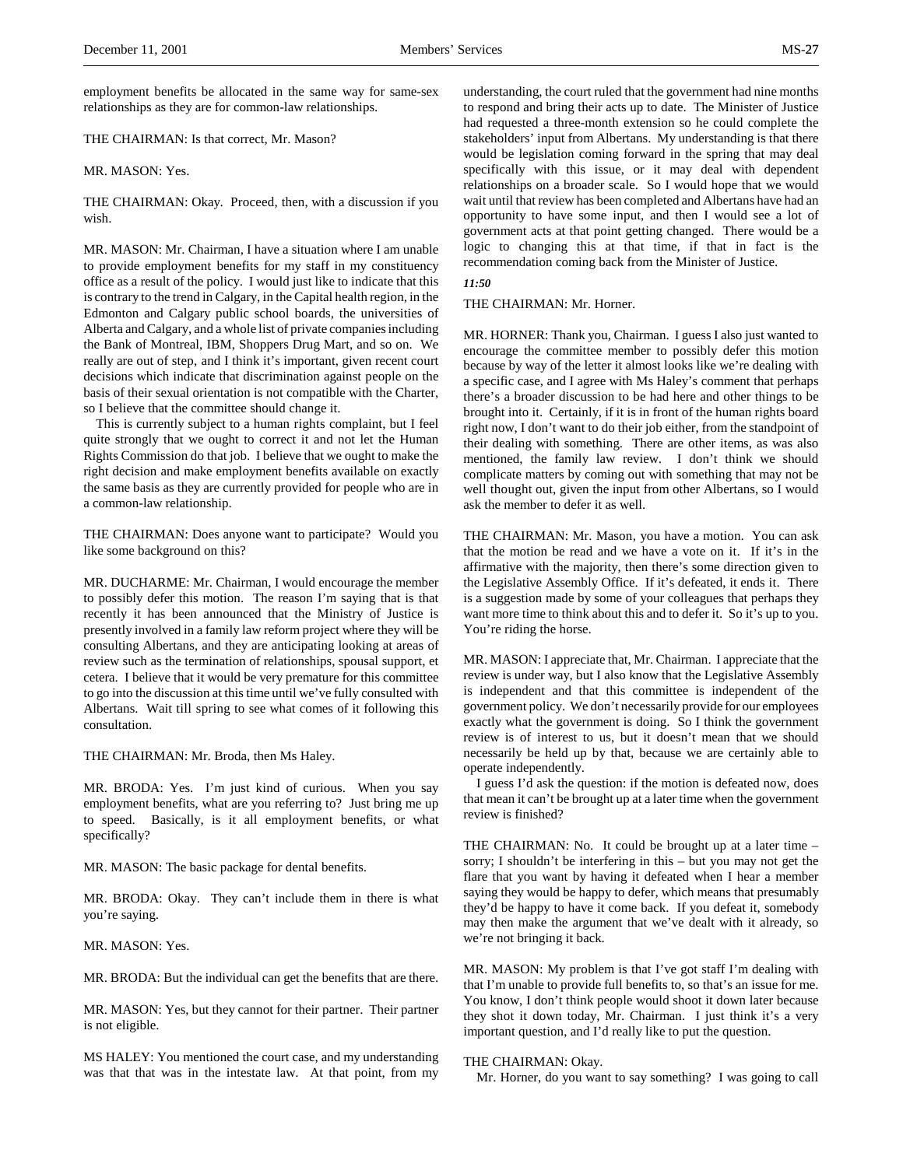employment benefits be allocated in the same way for same-sex relationships as they are for common-law relationships.

THE CHAIRMAN: Is that correct, Mr. Mason?

MR. MASON: Yes.

THE CHAIRMAN: Okay. Proceed, then, with a discussion if you wish.

MR. MASON: Mr. Chairman, I have a situation where I am unable to provide employment benefits for my staff in my constituency office as a result of the policy. I would just like to indicate that this is contrary to the trend in Calgary, in the Capital health region, in the Edmonton and Calgary public school boards, the universities of Alberta and Calgary, and a whole list of private companies including the Bank of Montreal, IBM, Shoppers Drug Mart, and so on. We really are out of step, and I think it's important, given recent court decisions which indicate that discrimination against people on the basis of their sexual orientation is not compatible with the Charter, so I believe that the committee should change it.

This is currently subject to a human rights complaint, but I feel quite strongly that we ought to correct it and not let the Human Rights Commission do that job. I believe that we ought to make the right decision and make employment benefits available on exactly the same basis as they are currently provided for people who are in a common-law relationship.

THE CHAIRMAN: Does anyone want to participate? Would you like some background on this?

MR. DUCHARME: Mr. Chairman, I would encourage the member to possibly defer this motion. The reason I'm saying that is that recently it has been announced that the Ministry of Justice is presently involved in a family law reform project where they will be consulting Albertans, and they are anticipating looking at areas of review such as the termination of relationships, spousal support, et cetera. I believe that it would be very premature for this committee to go into the discussion at this time until we've fully consulted with Albertans. Wait till spring to see what comes of it following this consultation.

THE CHAIRMAN: Mr. Broda, then Ms Haley.

MR. BRODA: Yes. I'm just kind of curious. When you say employment benefits, what are you referring to? Just bring me up to speed. Basically, is it all employment benefits, or what specifically?

MR. MASON: The basic package for dental benefits.

MR. BRODA: Okay. They can't include them in there is what you're saying.

MR. MASON: Yes.

MR. BRODA: But the individual can get the benefits that are there.

MR. MASON: Yes, but they cannot for their partner. Their partner is not eligible.

MS HALEY: You mentioned the court case, and my understanding was that that was in the intestate law. At that point, from my

understanding, the court ruled that the government had nine months to respond and bring their acts up to date. The Minister of Justice had requested a three-month extension so he could complete the stakeholders' input from Albertans. My understanding is that there would be legislation coming forward in the spring that may deal specifically with this issue, or it may deal with dependent relationships on a broader scale. So I would hope that we would wait until that review has been completed and Albertans have had an opportunity to have some input, and then I would see a lot of government acts at that point getting changed. There would be a logic to changing this at that time, if that in fact is the recommendation coming back from the Minister of Justice.

*11:50*

THE CHAIRMAN: Mr. Horner.

MR. HORNER: Thank you, Chairman. I guess I also just wanted to encourage the committee member to possibly defer this motion because by way of the letter it almost looks like we're dealing with a specific case, and I agree with Ms Haley's comment that perhaps there's a broader discussion to be had here and other things to be brought into it. Certainly, if it is in front of the human rights board right now, I don't want to do their job either, from the standpoint of their dealing with something. There are other items, as was also mentioned, the family law review. I don't think we should complicate matters by coming out with something that may not be well thought out, given the input from other Albertans, so I would ask the member to defer it as well.

THE CHAIRMAN: Mr. Mason, you have a motion. You can ask that the motion be read and we have a vote on it. If it's in the affirmative with the majority, then there's some direction given to the Legislative Assembly Office. If it's defeated, it ends it. There is a suggestion made by some of your colleagues that perhaps they want more time to think about this and to defer it. So it's up to you. You're riding the horse.

MR. MASON: I appreciate that, Mr. Chairman. I appreciate that the review is under way, but I also know that the Legislative Assembly is independent and that this committee is independent of the government policy. We don't necessarily provide for our employees exactly what the government is doing. So I think the government review is of interest to us, but it doesn't mean that we should necessarily be held up by that, because we are certainly able to operate independently.

I guess I'd ask the question: if the motion is defeated now, does that mean it can't be brought up at a later time when the government review is finished?

THE CHAIRMAN: No. It could be brought up at a later time – sorry; I shouldn't be interfering in this – but you may not get the flare that you want by having it defeated when I hear a member saying they would be happy to defer, which means that presumably they'd be happy to have it come back. If you defeat it, somebody may then make the argument that we've dealt with it already, so we're not bringing it back.

MR. MASON: My problem is that I've got staff I'm dealing with that I'm unable to provide full benefits to, so that's an issue for me. You know, I don't think people would shoot it down later because they shot it down today, Mr. Chairman. I just think it's a very important question, and I'd really like to put the question.

### THE CHAIRMAN: Okay.

Mr. Horner, do you want to say something? I was going to call